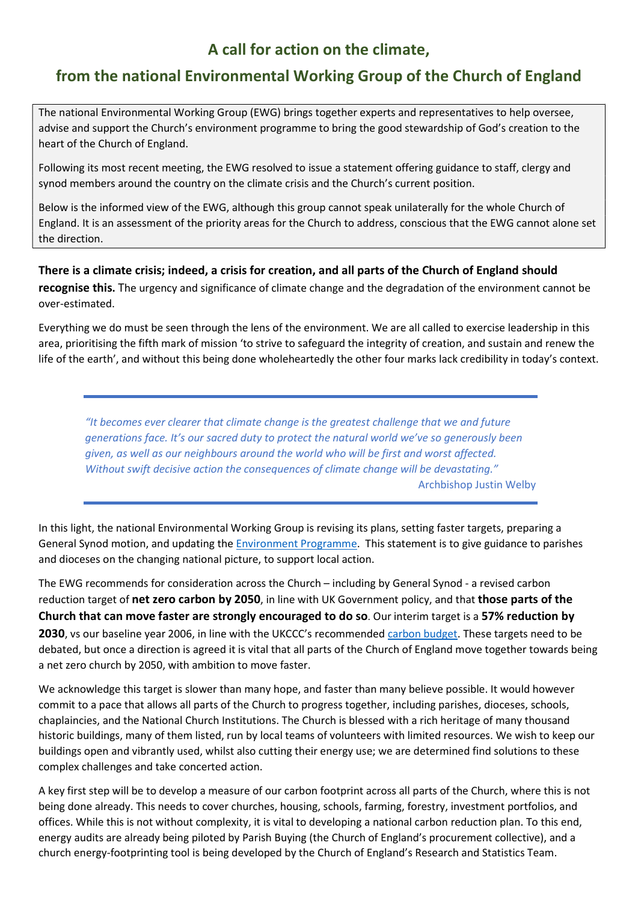## A call for action on the climate,

## from the national Environmental Working Group of the Church of England

The national Environmental Working Group (EWG) brings together experts and representatives to help oversee, advise and support the Church's environment programme to bring the good stewardship of God's creation to the heart of the Church of England.

Following its most recent meeting, the EWG resolved to issue a statement offering guidance to staff, clergy and synod members around the country on the climate crisis and the Church's current position.

Below is the informed view of the EWG, although this group cannot speak unilaterally for the whole Church of England. It is an assessment of the priority areas for the Church to address, conscious that the EWG cannot alone set the direction.

There is a climate crisis; indeed, a crisis for creation, and all parts of the Church of England should recognise this. The urgency and significance of climate change and the degradation of the environment cannot be over-estimated.

Everything we do must be seen through the lens of the environment. We are all called to exercise leadership in this area, prioritising the fifth mark of mission 'to strive to safeguard the integrity of creation, and sustain and renew the life of the earth', and without this being done wholeheartedly the other four marks lack credibility in today's context.

"It becomes ever clearer that climate change is the greatest challenge that we and future generations face. It's our sacred duty to protect the natural world we've so generously been given, as well as our neighbours around the world who will be first and worst affected. Without swift decisive action the consequences of climate change will be devastating." Archbishop Justin Welby

In this light, the national Environmental Working Group is revising its plans, setting faster targets, preparing a General Synod motion, and updating the **Environment Programme**. This statement is to give guidance to parishes and dioceses on the changing national picture, to support local action.

The EWG recommends for consideration across the Church – including by General Synod - a revised carbon reduction target of net zero carbon by 2050, in line with UK Government policy, and that those parts of the Church that can move faster are strongly encouraged to do so. Our interim target is a 57% reduction by 2030, vs our baseline year 2006, in line with the UKCCC's recommended carbon budget. These targets need to be debated, but once a direction is agreed it is vital that all parts of the Church of England move together towards being a net zero church by 2050, with ambition to move faster.

We acknowledge this target is slower than many hope, and faster than many believe possible. It would however commit to a pace that allows all parts of the Church to progress together, including parishes, dioceses, schools, chaplaincies, and the National Church Institutions. The Church is blessed with a rich heritage of many thousand historic buildings, many of them listed, run by local teams of volunteers with limited resources. We wish to keep our buildings open and vibrantly used, whilst also cutting their energy use; we are determined find solutions to these complex challenges and take concerted action.

A key first step will be to develop a measure of our carbon footprint across all parts of the Church, where this is not being done already. This needs to cover churches, housing, schools, farming, forestry, investment portfolios, and offices. While this is not without complexity, it is vital to developing a national carbon reduction plan. To this end, energy audits are already being piloted by Parish Buying (the Church of England's procurement collective), and a church energy-footprinting tool is being developed by the Church of England's Research and Statistics Team.